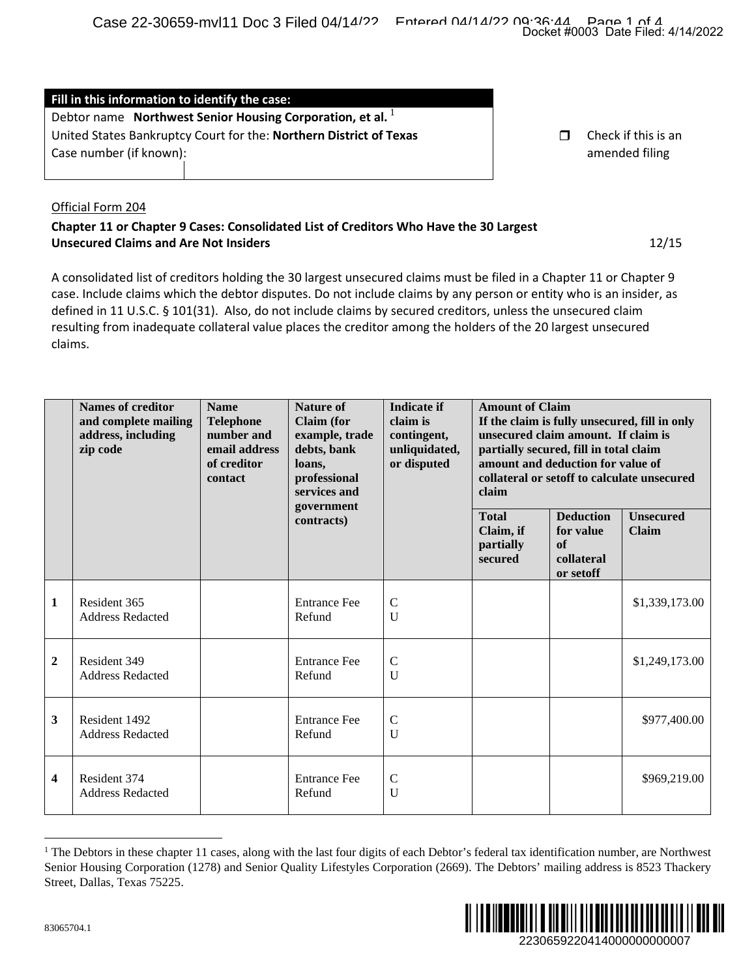| Fill in this information to identify the case:                     |  |                     |  |  |  |  |  |
|--------------------------------------------------------------------|--|---------------------|--|--|--|--|--|
| Debtor name Northwest Senior Housing Corporation, et al.           |  |                     |  |  |  |  |  |
| United States Bankruptcy Court for the: Northern District of Texas |  | Check if this is an |  |  |  |  |  |
| Case number (if known):                                            |  | amended filing      |  |  |  |  |  |
|                                                                    |  |                     |  |  |  |  |  |

## Official Form 204

## **Chapter 11 or Chapter 9 Cases: Consolidated List of Creditors Who Have the 30 Largest Unsecured Claims and Are Not Insiders** 12/15

|                                                                                                                                                                                                                                                                                                                                                                                                                                                                                                                                                                                                                                                                                                           |                                                                                                                                                                                                                                                                                                                            |                                                                                          |                                                                                                                                              |                                                                               |                                                                                                                                                                                                                                                       |                                                                | Docket #0003 Date Filed: 4/14/2022    |  |
|-----------------------------------------------------------------------------------------------------------------------------------------------------------------------------------------------------------------------------------------------------------------------------------------------------------------------------------------------------------------------------------------------------------------------------------------------------------------------------------------------------------------------------------------------------------------------------------------------------------------------------------------------------------------------------------------------------------|----------------------------------------------------------------------------------------------------------------------------------------------------------------------------------------------------------------------------------------------------------------------------------------------------------------------------|------------------------------------------------------------------------------------------|----------------------------------------------------------------------------------------------------------------------------------------------|-------------------------------------------------------------------------------|-------------------------------------------------------------------------------------------------------------------------------------------------------------------------------------------------------------------------------------------------------|----------------------------------------------------------------|---------------------------------------|--|
|                                                                                                                                                                                                                                                                                                                                                                                                                                                                                                                                                                                                                                                                                                           | Fill in this information to identify the case:<br>Debtor name Northwest Senior Housing Corporation, et al.<br>United States Bankruptcy Court for the: Northern District of Texas                                                                                                                                           |                                                                                          |                                                                                                                                              |                                                                               |                                                                                                                                                                                                                                                       | $\Box$                                                         | Check if this is an                   |  |
| Case number (if known):<br>amended filing<br>Official Form 204<br>Chapter 11 or Chapter 9 Cases: Consolidated List of Creditors Who Have the 30 Largest<br><b>Unsecured Claims and Are Not Insiders</b><br>12/15<br>A consolidated list of creditors holding the 30 largest unsecured claims must be filed in a Chapter 11 or Chapter 9<br>case. Include claims which the debtor disputes. Do not include claims by any person or entity who is an insider, as<br>defined in 11 U.S.C. § 101(31). Also, do not include claims by secured creditors, unless the unsecured claim<br>resulting from inadequate collateral value places the creditor among the holders of the 20 largest unsecured<br>claims. |                                                                                                                                                                                                                                                                                                                            |                                                                                          |                                                                                                                                              |                                                                               |                                                                                                                                                                                                                                                       |                                                                |                                       |  |
|                                                                                                                                                                                                                                                                                                                                                                                                                                                                                                                                                                                                                                                                                                           | <b>Names of creditor</b><br>and complete mailing<br>address, including<br>zip code                                                                                                                                                                                                                                         | <b>Name</b><br><b>Telephone</b><br>number and<br>email address<br>of creditor<br>contact | <b>Nature of</b><br><b>Claim</b> (for<br>example, trade<br>debts, bank<br>loans,<br>professional<br>services and<br>government<br>contracts) | <b>Indicate if</b><br>claim is<br>contingent,<br>unliquidated,<br>or disputed | <b>Amount of Claim</b><br>If the claim is fully unsecured, fill in only<br>unsecured claim amount. If claim is<br>partially secured, fill in total claim<br>amount and deduction for value of<br>collateral or setoff to calculate unsecured<br>claim |                                                                |                                       |  |
|                                                                                                                                                                                                                                                                                                                                                                                                                                                                                                                                                                                                                                                                                                           |                                                                                                                                                                                                                                                                                                                            |                                                                                          |                                                                                                                                              |                                                                               | <b>Total</b><br>Claim, if<br>partially<br>secured                                                                                                                                                                                                     | <b>Deduction</b><br>for value<br>of<br>collateral<br>or setoff | <b>Unsecured</b><br>Claim             |  |
| $\mathbf{1}$                                                                                                                                                                                                                                                                                                                                                                                                                                                                                                                                                                                                                                                                                              | Resident 365<br>Address Redacted                                                                                                                                                                                                                                                                                           |                                                                                          | <b>Entrance Fee</b><br>Refund                                                                                                                | $\mathcal{C}$<br>U                                                            |                                                                                                                                                                                                                                                       |                                                                | \$1,339,173.00                        |  |
| $\boldsymbol{2}$                                                                                                                                                                                                                                                                                                                                                                                                                                                                                                                                                                                                                                                                                          | Resident 349<br><b>Address Redacted</b>                                                                                                                                                                                                                                                                                    |                                                                                          | <b>Entrance Fee</b><br>Refund                                                                                                                | $\mathsf{C}$<br>U                                                             |                                                                                                                                                                                                                                                       |                                                                | \$1,249,173.00                        |  |
| 3                                                                                                                                                                                                                                                                                                                                                                                                                                                                                                                                                                                                                                                                                                         | Resident 1492<br><b>Address Redacted</b>                                                                                                                                                                                                                                                                                   |                                                                                          | <b>Entrance Fee</b><br>Refund                                                                                                                | $\mathsf{C}$<br>U                                                             |                                                                                                                                                                                                                                                       |                                                                | \$977,400.00                          |  |
| 4                                                                                                                                                                                                                                                                                                                                                                                                                                                                                                                                                                                                                                                                                                         | Resident 374<br><b>Address Redacted</b>                                                                                                                                                                                                                                                                                    |                                                                                          | <b>Entrance Fee</b><br>Refund                                                                                                                | $\mathbf C$<br>U                                                              |                                                                                                                                                                                                                                                       |                                                                | \$969,219.00                          |  |
| 83065704.1                                                                                                                                                                                                                                                                                                                                                                                                                                                                                                                                                                                                                                                                                                | <sup>1</sup> The Debtors in these chapter 11 cases, along with the last four digits of each Debtor's federal tax identification number, are Northwest<br>Senior Housing Corporation (1278) and Senior Quality Lifestyles Corporation (2669). The Debtors' mailing address is 8523 Thackery<br>Street, Dallas, Texas 75225. |                                                                                          |                                                                                                                                              |                                                                               |                                                                                                                                                                                                                                                       |                                                                | IIIIIIII<br>2230659220414000000000007 |  |

<span id="page-0-0"></span> $<sup>1</sup>$  The Debtors in these chapter 11 cases, along with the last four digits of each Debtor's federal tax identification number, are Northwest</sup> Senior Housing Corporation (1278) and Senior Quality Lifestyles Corporation (2669). The Debtors' mailing address is 8523 Thackery Street, Dallas, Texas 75225.

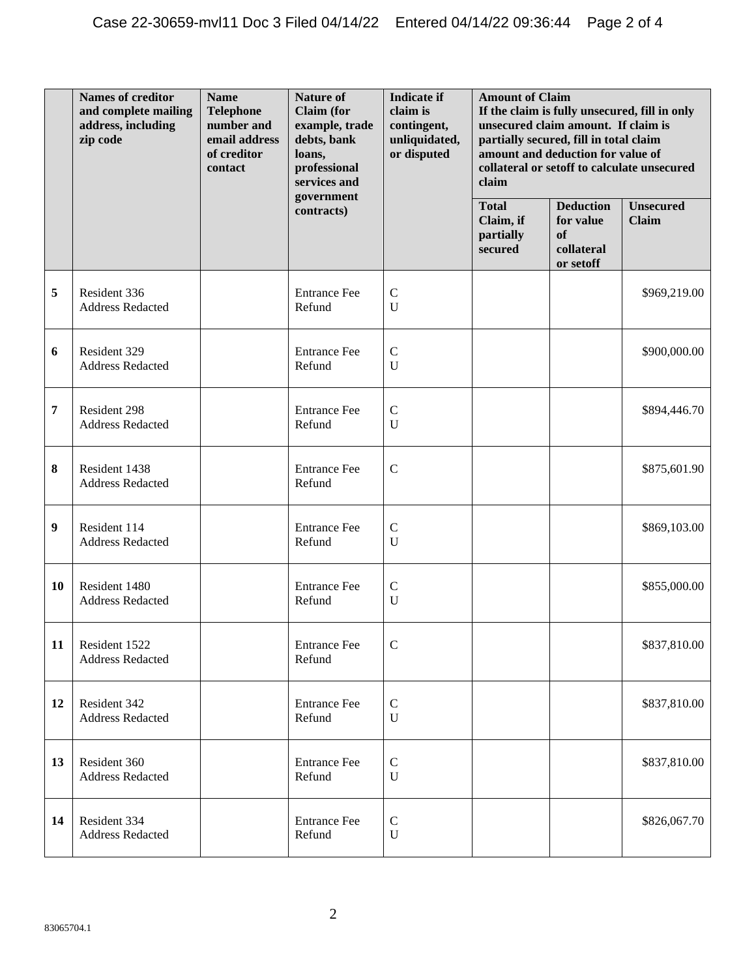|           | <b>Names of creditor</b><br>and complete mailing<br>address, including<br>zip code | <b>Name</b><br><b>Telephone</b><br>number and<br>email address<br>of creditor<br>contact | <b>Nature of</b><br><b>Claim</b> (for<br>example, trade<br>debts, bank<br>loans,<br>professional<br>services and<br>government | <b>Indicate if</b><br>claim is<br>contingent,<br>unliquidated,<br>or disputed | <b>Amount of Claim</b><br>If the claim is fully unsecured, fill in only<br>unsecured claim amount. If claim is<br>partially secured, fill in total claim<br>amount and deduction for value of<br>collateral or setoff to calculate unsecured<br>claim |                                                                           |                                  |
|-----------|------------------------------------------------------------------------------------|------------------------------------------------------------------------------------------|--------------------------------------------------------------------------------------------------------------------------------|-------------------------------------------------------------------------------|-------------------------------------------------------------------------------------------------------------------------------------------------------------------------------------------------------------------------------------------------------|---------------------------------------------------------------------------|----------------------------------|
|           |                                                                                    |                                                                                          | contracts)                                                                                                                     |                                                                               | <b>Total</b><br>Claim, if<br>partially<br>secured                                                                                                                                                                                                     | <b>Deduction</b><br>for value<br><sub>of</sub><br>collateral<br>or setoff | <b>Unsecured</b><br><b>Claim</b> |
| 5         | Resident 336<br><b>Address Redacted</b>                                            |                                                                                          | <b>Entrance Fee</b><br>Refund                                                                                                  | $\mathsf{C}$<br>$\mathbf U$                                                   |                                                                                                                                                                                                                                                       |                                                                           | \$969,219.00                     |
| 6         | Resident 329<br><b>Address Redacted</b>                                            |                                                                                          | <b>Entrance Fee</b><br>Refund                                                                                                  | $\mathbf C$<br>$\mathbf U$                                                    |                                                                                                                                                                                                                                                       |                                                                           | \$900,000.00                     |
| 7         | Resident 298<br><b>Address Redacted</b>                                            |                                                                                          | <b>Entrance Fee</b><br>Refund                                                                                                  | ${\bf C}$<br>$\mathbf U$                                                      |                                                                                                                                                                                                                                                       |                                                                           | \$894,446.70                     |
| 8         | Resident 1438<br>Address Redacted                                                  |                                                                                          | <b>Entrance Fee</b><br>Refund                                                                                                  | $\mathcal{C}$                                                                 |                                                                                                                                                                                                                                                       |                                                                           | \$875,601.90                     |
| 9         | Resident 114<br><b>Address Redacted</b>                                            |                                                                                          | <b>Entrance Fee</b><br>Refund                                                                                                  | $\mathcal{C}$<br>$\mathbf U$                                                  |                                                                                                                                                                                                                                                       |                                                                           | \$869,103.00                     |
| <b>10</b> | Resident 1480<br>Address Redacted                                                  |                                                                                          | <b>Entrance Fee</b><br>Refund                                                                                                  | $\mathbf C$<br>$\mathbf U$                                                    |                                                                                                                                                                                                                                                       |                                                                           | \$855,000.00                     |
| 11        | Resident 1522<br><b>Address Redacted</b>                                           |                                                                                          | <b>Entrance Fee</b><br>Refund                                                                                                  | $\mathsf{C}$                                                                  |                                                                                                                                                                                                                                                       |                                                                           | \$837,810.00                     |
| 12        | Resident 342<br>Address Redacted                                                   |                                                                                          | <b>Entrance Fee</b><br>Refund                                                                                                  | $\mathbf C$<br>$\mathbf U$                                                    |                                                                                                                                                                                                                                                       |                                                                           | \$837,810.00                     |
| 13        | Resident 360<br><b>Address Redacted</b>                                            |                                                                                          | <b>Entrance Fee</b><br>Refund                                                                                                  | $\mathbf C$<br>$\mathbf U$                                                    |                                                                                                                                                                                                                                                       |                                                                           | \$837,810.00                     |
| 14        | Resident 334<br><b>Address Redacted</b>                                            |                                                                                          | <b>Entrance Fee</b><br>Refund                                                                                                  | ${\bf C}$<br>$\mathbf U$                                                      |                                                                                                                                                                                                                                                       |                                                                           | \$826,067.70                     |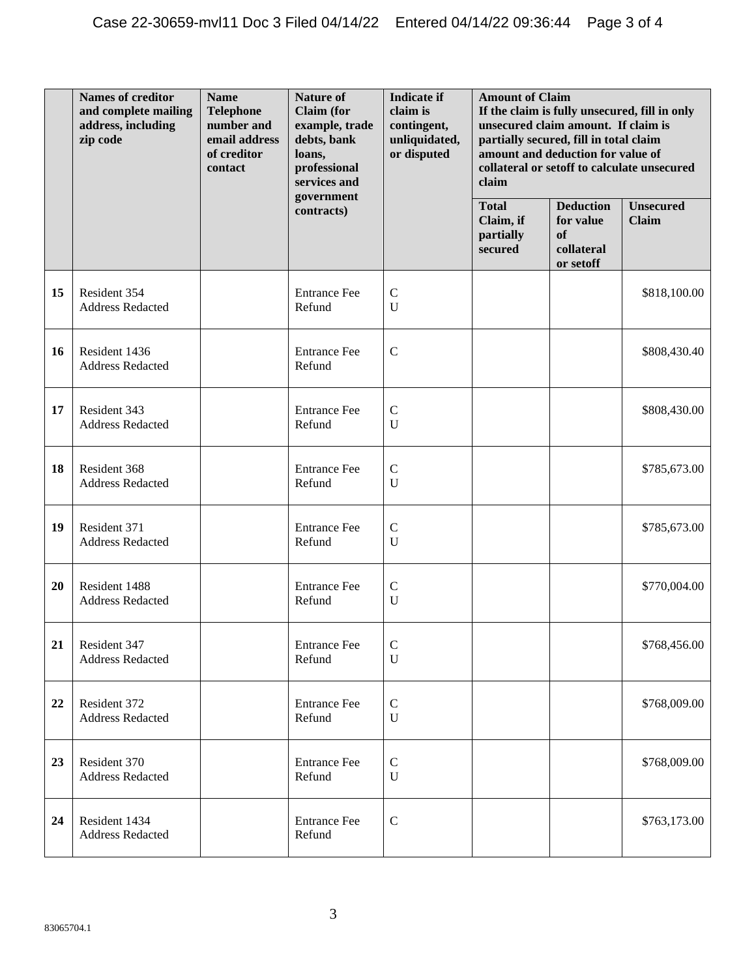|    | <b>Names of creditor</b><br>and complete mailing<br>address, including<br>zip code | <b>Name</b><br><b>Telephone</b><br>number and<br>email address<br>of creditor<br>contact | <b>Nature of</b><br><b>Claim</b> (for<br>example, trade<br>debts, bank<br>loans,<br>professional<br>services and<br>government | <b>Indicate if</b><br>claim is<br>contingent,<br>unliquidated,<br>or disputed | <b>Amount of Claim</b><br>If the claim is fully unsecured, fill in only<br>unsecured claim amount. If claim is<br>partially secured, fill in total claim<br>amount and deduction for value of<br>collateral or setoff to calculate unsecured<br>claim |                                                                           |                                  |
|----|------------------------------------------------------------------------------------|------------------------------------------------------------------------------------------|--------------------------------------------------------------------------------------------------------------------------------|-------------------------------------------------------------------------------|-------------------------------------------------------------------------------------------------------------------------------------------------------------------------------------------------------------------------------------------------------|---------------------------------------------------------------------------|----------------------------------|
|    |                                                                                    |                                                                                          | contracts)                                                                                                                     |                                                                               | <b>Total</b><br>Claim, if<br>partially<br>secured                                                                                                                                                                                                     | <b>Deduction</b><br>for value<br><sub>of</sub><br>collateral<br>or setoff | <b>Unsecured</b><br><b>Claim</b> |
| 15 | Resident 354<br><b>Address Redacted</b>                                            |                                                                                          | <b>Entrance Fee</b><br>Refund                                                                                                  | $\mathsf{C}$<br>$\mathbf U$                                                   |                                                                                                                                                                                                                                                       |                                                                           | \$818,100.00                     |
| 16 | Resident 1436<br><b>Address Redacted</b>                                           |                                                                                          | <b>Entrance Fee</b><br>Refund                                                                                                  | $\mathbf C$                                                                   |                                                                                                                                                                                                                                                       |                                                                           | \$808,430.40                     |
| 17 | Resident 343<br><b>Address Redacted</b>                                            |                                                                                          | <b>Entrance Fee</b><br>Refund                                                                                                  | $\mathsf{C}$<br>$\mathbf U$                                                   |                                                                                                                                                                                                                                                       |                                                                           | \$808,430.00                     |
| 18 | Resident 368<br><b>Address Redacted</b>                                            |                                                                                          | <b>Entrance Fee</b><br>Refund                                                                                                  | $\mathcal{C}$<br>$\mathbf U$                                                  |                                                                                                                                                                                                                                                       |                                                                           | \$785,673.00                     |
| 19 | Resident 371<br><b>Address Redacted</b>                                            |                                                                                          | <b>Entrance Fee</b><br>Refund                                                                                                  | $\mathcal{C}$<br>$\mathbf U$                                                  |                                                                                                                                                                                                                                                       |                                                                           | \$785,673.00                     |
| 20 | Resident 1488<br>Address Redacted                                                  |                                                                                          | <b>Entrance Fee</b><br>Refund                                                                                                  | $\mathbf C$<br>$\mathbf U$                                                    |                                                                                                                                                                                                                                                       |                                                                           | \$770,004.00                     |
| 21 | Resident 347<br><b>Address Redacted</b>                                            |                                                                                          | <b>Entrance Fee</b><br>Refund                                                                                                  | $\mathcal{C}$<br>U                                                            |                                                                                                                                                                                                                                                       |                                                                           | \$768,456.00                     |
| 22 | Resident 372<br><b>Address Redacted</b>                                            |                                                                                          | <b>Entrance Fee</b><br>Refund                                                                                                  | $\mathbf C$<br>$\mathbf U$                                                    |                                                                                                                                                                                                                                                       |                                                                           | \$768,009.00                     |
| 23 | Resident 370<br><b>Address Redacted</b>                                            |                                                                                          | <b>Entrance Fee</b><br>Refund                                                                                                  | $\mathbf C$<br>$\mathbf U$                                                    |                                                                                                                                                                                                                                                       |                                                                           | \$768,009.00                     |
| 24 | Resident 1434<br><b>Address Redacted</b>                                           |                                                                                          | <b>Entrance Fee</b><br>Refund                                                                                                  | $\mathbf C$                                                                   |                                                                                                                                                                                                                                                       |                                                                           | \$763,173.00                     |